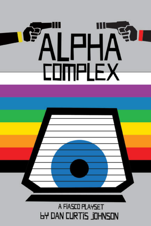

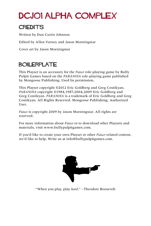# DCJ01 Alpha Complex

### **CREDITS**

Written by Dan Curtis Johnson

Edited by Allen Varney and Jason Morningstar

Cover art by Jason Morningstar

## BOILERPLATE

This Playset is an accessory for the *Fiasco* role-playing game by Bully Pulpit Games based on the *PARANOIA* role-playing game published by Mongoose Publishing. Used by permission.

This Playset copyright ©2012 Eric Goldberg and Greg Costikyan. *PARANOIA* copyright ©1984,1987,2004,2009 Eric Goldberg and Greg Costikyan. *PARANOIA* is a trademark of Eric Goldberg and Greg Costikyan. All Rights Reserved. Mongoose Publishing, Authorized User.

*Fiasco* is copyright 2009 by Jason Morningstar. All rights are reserved.

For more information about *Fiasco* or to download other Playsets and materials, visit www.bullypulpitgames.com.

If you'd like to create your own Playset or other *Fiasco*-related content, we'd like to help. Write us at info@bullypulpitgames.com.



"When you play, play *hard*." - Theodore Roosevelt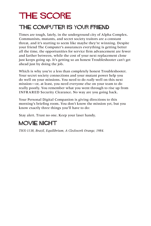# THE SCORE

## The Computer is Your Friend

Times are tough, lately, in the underground city of Alpha Complex. Communists, mutants, and secret society traitors are a constant threat, and it's starting to seem like maybe they're winning. Despite your friend The Computer's assurances everything is getting better all the time, the opportunities for service firm advancement are fewer and farther between, while the cost of your next replacement clone just keeps going up. It's getting so an honest Troubleshooter can't get ahead just by doing the job.

Which is why you're a less than completely honest Troubleshooter. Your secret society connections and your mutant power help you do well on your missions. You need to do *really* well on this next mission—or, at least, you need everyone else on your team to do really poorly. You remember what you went through to rise up from INFRARED Security Clearance. No way are you going back.

Your Personal Digital Companion is giving directions to this morning's briefing room. You don't know the mission yet, but you know exactly three things you'll have to do:

Stay alert. Trust no one. Keep your laser handy.

### MOVIE NIGHT

*THX-1138, Brazil, Equilibrium, A Clockwork Orange, 1984.*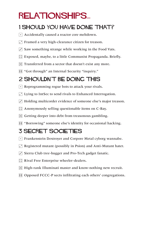# relationships...

## 1 Should You Have Done That?

- $\lceil \cdot \rceil$  Accidentally caused a reactor core meltdown.
- $\Gamma$  Framed a very high-clearance citizen for treason.
- $\overline{3}$  Saw something strange while working in the Food Vats.
- $\boxed{\therefore}$  Exposed, maybe, to a little Communist Propaganda. Briefly.
- $\mathbb{E}$  Transferred from a sector that doesn't exist any more.
- **11** "Got through" an Internal Security "inquiry."

## 2 Shouldn't Be Doing This

- $\lceil \cdot \rceil$  Reprogramming rogue bots to attack your rivals.
- $\Gamma$  Lying to IntSec to send rivals to Enhanced Interrogation.
- $\cdot$  Holding multicorder evidence of someone else's major treason.
- $\therefore$  Anonymously selling questionable items on C-Bay.
- $\mathbb{E}$  Getting deeper into debt from treasonous gambling.
- **11** "Borrowing" someone else's identity for occasional hacking.

## 3 Secret Societies

- $\lceil \cdot \rceil$  Frankenstein Destroyer and Corpore Metal cyborg wannabe.
- $\Gamma$  Registered mutant (possibly in Psion) and Anti-Mutant hater.
- $\ddot{\cdot}$  Sierra Club tree-hugger and Pro-Tech gadget fanatic.
- **1.** Rival Free Enterprise wheeler-dealers.
- 5 High-rank Illuminati master and know-nothing new recruit.
- **11** Opposed FCCC-P sects infiltrating each others' congregations.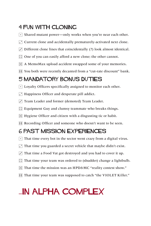### 4 FUN WITH CLONING

- $\lceil \cdot \rceil$  Shared mutant power—only works when you're near each other.
- $\cdot$  Current clone and accidentally prematurely-activated next clone.
- $\overline{3}$  Different clone lines that coincidentally (?) look almost identical.
- $\therefore$  One of you can easily afford a new clone; the other cannot.
- $\mathbb{E}$  A MemoMax upload accident swapped some of your memories.
- **FI** You both were recently decanted from a "cut-rate discount" bank.

## 5 Mandatory Bonus Duties

- $\lceil \cdot \rceil$  Loyalty Officers specifically assigned to monitor each other.
- $\cdot$  Happiness Officer and desperate pill addict.
- Team Leader and former (demoted) Team Leader.
- $\therefore$  Equipment Guy and clumsy teammate who breaks things.
- $\mathbb{E}$  Hygiene Officer and citizen with a disgusting tic or habit.
- **FFI** Recording Officer and someone who doesn't want to be seen.

## 6 Past Mission Experiences

- $\lceil \cdot \rceil$  That time every bot in the sector went crazy from a digital virus.
- $\Gamma$  That time you guarded a secret vehicle that maybe didn't exist.
- $\overline{3}$  That time a Food Vat got destroyed and you had to cover it up.
- $\therefore$  That time your team was ordered to (shudder) change a lightbulb.
- **F.** That time the mission was an HPD&MC "reality contest show."
- **FFI** That time your team was supposed to catch "the VIOLET Killer."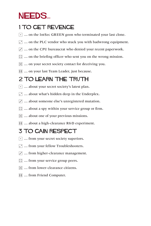## NEEDS...

## 1 To Get Revenge

- $\lceil \cdot \rceil$  ... on the IntSec GREEN goon who terminated your last clone.
- $\cdot$   $\cdot$   $\cdot$  ... on the PLC vendor who stuck you with badwrong equipment.
- $\overline{3}$  ... on the CPU bureaucrat who denied your recent paperwork.
- $\boxed{\therefore}$  ... on the briefing officer who sent you on the wrong mission.
- $\mathbb{E}$  ... on your secret society contact for deceiving you.
- **11** ... on your last Team Leader, just because.

## 2 TO LEARN THE TRUTH

- $\cdot$  ... about your secret society's latest plan.
- $\cdot$   $\cdot$   $\cdot$  about what's hidden deep in the Underplex.
- $\cdot$   $\cdot$   $\cdot$  about someone else's unregistered mutation.
- $\mathbb{G}$  ... about a spy within your service group or firm.
- $\boxed{5}$  ... about one of your previous missions.
- **11** ... about a high-clearance R&D experiment.

## 3 To gain respect

- $\lceil \cdot \rceil$  ... from your secret society superiors.
- $\Gamma$  ... from your fellow Troubleshooters.
- $\ddot{\cdot}$  ... from higher-clearance management.
- $\boxed{\therefore}$  ... from your service group peers.
- 5 … from lower-clearance citizens.
- **11 ...** from Friend Computer.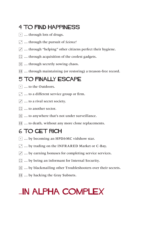## 4 To find happiness

- $\lceil \cdot \rceil$  ... through lots of drugs.
- 2 … through the pursuit of *Science!*
- $\overline{3}$  ... through "helping" other citizens perfect their hygiene.
- $\left| \right|$  ... through acquisition of the coolest gadgets.
- $\boxed{5}$  ... through secretly sowing chaos.
- **11** ... through maintaining (or restoring) a treason-free record.

## 5 To finally escape

- $\lceil \cdot \rceil$  ... to the Outdoors.
- $\Gamma$  ... to a different service group or firm.
- $\cdot$   $\cdot$   $\cdot$  to a rival secret society.
- $\boxed{\therefore}$  ... to another sector.
- $\mathbb{E}$  ... to anywhere that's not under surveillance.
- **11** ... to death, without any more clone replacements.

## 6 To get rich

- $\lceil \cdot \rceil$  ... by becoming an HPD&MC vidshow star.
- $\Gamma$  ... by trading on the INFRARED Market or C-Bay.
- $\ddot{\cdot}$  ... by earning bonuses for completing service services.
- $\boxed{::}$  ... by being an informant for Internal Security.
- 5 … by blackmailing other Troubleshooters over their secrets.
- **11** ... by hacking the Gray Subnets.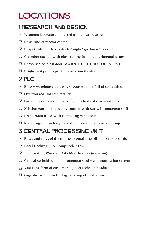# LOCATIONS...

## 1 Research and Design

- $\lceil \cdot \rceil$  Weapons laboratory budgeted as medical research
- $\Gamma$  New kind of reactor center
- 3 Project Infinite Hole, which "might" go down "forever"
- $\therefore$  Chamber packed with glass tubing full of experimental drugs
- **F.** Heavy sealed blast door: WARNING. DO NOT OPEN. EVER.
- **11** Brightly-lit prototype demonstration theater

## 2 PLC

- $\lceil \cdot \rceil$  Empty warehouse that was supposed to be full of something
- $\Gamma$  Overworked Hot Fun facility
- $\overline{S}$  Distribution center operated by hundreds of scary-fast bots
- $\therefore$  Mission equipment supply counter with surly, incompetent staff
- $\mathbb{E}$  Break room filled with competing vendobots
- **11** Recycling compactor, guaranteed to accept almost anything

## 3 Central Processing Unit

- $\lceil \cdot \rceil$  Rows and rows of file cabinets containing billions of note cards
- 2 Local Caching Sub-CompNode 6134
- $\overline{3}$  The Exciting World of Data Modification (museum)
- $\therefore$ : Central switching hub for pneumatic tube communication system
- $\mathbb{E}$  Vast cube farm of customer support techs on headsets
- **11** Gigantic printer for bulk-generating official forms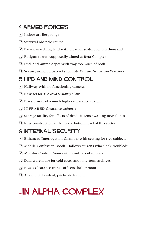## 4 Armed Forces

- $\lceil \cdot \rceil$  Indoor artillery range
- $\Box$  Survival obstacle course
- $\overline{3}$  Parade marching field with bleacher seating for ten thousand
- $\left| \right\rangle$ : Railgun turret, supposedly aimed at Beta Complex
- $\mathbb{E}$  Fuel-and-ammo depot with way too much of both
- **11 Secure, armored barracks for elite Vulture Squadron Warriors**

### 5 HPD AND Mind Control

- $\lceil \cdot \rceil$  Hallway with no functioning cameras
- 2 New set for *The Teela O'Malley Show*
- $\cdot$  Private suite of a much higher-clearance citizen
- **:: INFRARED Clearance cafeteria**
- $\mathbb{E}$  Storage facility for effects of dead citizens awaiting new clones
- **11** New construction at the top or bottom level of this sector

## 6 Internal Security

- $\lceil \cdot \rceil$  Enhanced Interrogation Chamber with seating for two subjects
- 2 Mobile Confession Booth—follows citizens who "look troubled"
- $\ddot{\cdot}$  Monitor Control Room with hundreds of screens
- $\therefore$  Data warehouse for cold cases and long-term archives
- 5 BLUE Clearance IntSec officers' locker room
- **11** A completely silent, pitch-black room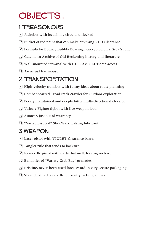# OBJECTS...

## 1 Treasonous

- $\lceil \cdot \rceil$  Jackobot with its asimov circuits unlocked
- $\cdot$  Bucket of red paint that can make anything RED Clearance
- $\overline{3}$  Formula for Bouncy Bubbly Beverage, encrypted on a Grey Subnet
- $\dddot{=}$  Gatzmann Archive of Old Reckoning history and literature
- $\mathbb{E}$  Wall-mounted terminal with ULTRAVIOLET data access
- $\mathbf{F}$  An actual live mouse

## 2 Transportation

- $\lceil \cdot \rceil$  High-velocity transbot with funny ideas about route planning
- **F** Combat-scarred TreadTrack crawler for Outdoor exploration
- $\cdot$  Poorly maintained and deeply bitter multi-directional elevator
- $\left| \right|$  Vulture Fighter flybot with live weapon load
- $\mathbb{E}$  Autocar, just out of warranty
- **11** "Variable-speed" SlideWalk leaking lubricant

## 3 Weapon

- $\lceil \cdot \rceil$  Laser pistol with VIOLET-Clearance barrel
- $\Gamma$  Tangler rifle that tends to backfire
- $\ddot{\cdot}$  Ice-needle pistol with darts that melt, leaving no trace
- $\boxed{\therefore}$  Bandolier of "Variety Grab Bag" grenades
- $\mathbb{E}$  Pristine, never-been-used force sword in very secure packaging
- $\Xi$  Shoulder-fired cone rifle, currently lacking ammo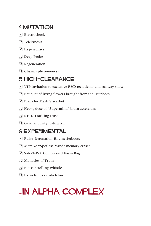### 4 MUTATION

- $\lceil \cdot \rceil$  Electroshock
- $\Gamma$  Telekinesis
- $\overline{3}$  Hypersenses
- **1** Deep Probe
- $\mathbb{E}$  Regeneration
- **1** Charm (pheromones)

### 5 High-clearance

- $\cdot$  VIP invitation to exclusive R&D tech demo and runway show
- $\Gamma$  Bouquet of living flowers brought from the Outdoors
- $\cdot$  Plans for Mark V warbot
- $\mathbb{H}$  Heavy dose of "Supermind" brain accelerant
- **E** RFID Tracking Dust
- **11 Genetic purity testing kit**

#### 6 Experimental

- $\lceil \cdot \rceil$  Pulse-Detonation-Engine Jetboots
- **1.** MemGo "Spotless Mind" memory eraser
- 3 Safe-T-Pak Compressed Foam Bag
- $\boxed{\therefore}$  Manacles of Truth
- $\boxed{5}$  Bot-controlling whistle
- **EXtra limbs exoskeleton**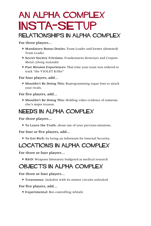## An Alpha Complex INSTA-SETUP Relationships in Alpha Complex

**For three players…**

- \* **Mandatory Bonus Duties:** Team Leader and former (demoted) Team Leader
- \* **Secret Society Frictions:** Frankenstein Destroyer and Corpore Metal cyborg wannabe
- \* **Past Mission Experiences:** That time your team was ordered to track "the VIOLET Killer"

**For four players, add…**

\* **Shouldn't Be Doing This:** Reprogramming rogue bots to attack your rivals.

**For five players, add…**

\* **Shouldn't Be Doing This:** Holding video evidence of someone else's major treason.

#### Needs in Alpha Complex

**For three players…**

\* **To Learn the Truth:** about one of your previous missions.

**For four or five players, add…**

\* **To Get Rich:** by being an informant for Internal Security.

#### LOCATIONS in Alpha Complex

**For three or four players…**

\* **R&D:** Weapons laboratory budgeted as medical research

### OBJECTS in Alpha Complex

**For three or four players…**

\* **Treasonous:** Jackobot with its asimov circuits unlocked

**For five players, add…**

\* **Experimental:** Bot-controlling whistle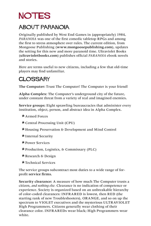# **NOTES**

## About Paranoia

Originally published by West End Games in (appropriately) 1984, *PARANOIA* was one of the first comedic tabletop RPGs and among the first to stress atmosphere over rules. The current edition, from Mongoose Publishing (**www.mongoosepublishing.com**), updates the setting for this new and more paranoid time. Ultraviolet Books (**ultravioletbooks.com**) publishes official *PARANOIA* ebook novels and stories.

Here are terms useful to new citizens, including a few that old-time players may find unfamiliar.

## **GLOSSARY**

**The Computer:** Trust The Computer! The Computer is your friend!

**Alpha Complex:** The Computer's underground city of the future, under constant threat from a variety of real and imagined enemies.

**Service groups:** Eight sprawling bureaucracies that administer every institution, object, person, and abstract idea in Alpha Complex.

\* Armed Forces

\* Central Processing Unit (CPU)

\* Housing Preservation & Development and Mind Control

\*Internal Security

\* Power Services

\* Production, Logistics, & Commissary (PLC)

\* Research & Design

\* Technical Services

The service groups subcontract most duties to a wide range of forprofit **service firms.**

**Security clearance:** A measure of how much The Computer trusts a citizen, *and nothing else.* Clearance is no indication of competence or experience. Society is organized based on an unbreakable hierarchy of color-coded clearances: INFRARED is lowest, then RED (the starting rank of new Troubleshooters), ORANGE, and so on up the spectrum to VIOLET executives and the mysterious ULTRAVIOLET High Programmers. Citizens generally wear clothing of their clearance color. INFRAREDs wear black; High Programmers wear white.